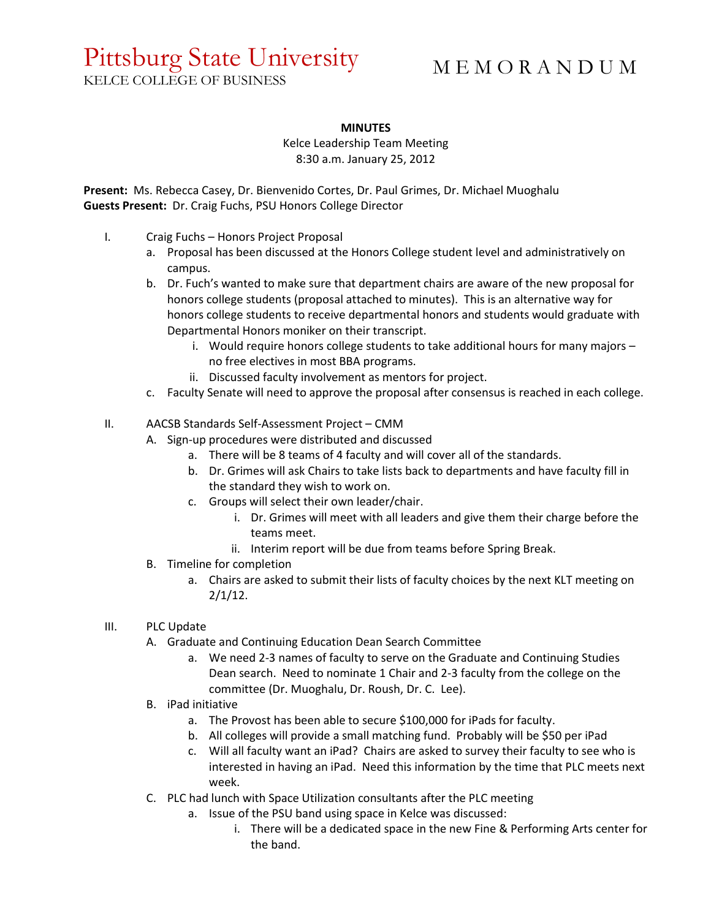## Pittsburg State University

M E M O R A N D U M

KELCE COLLEGE OF BUSINESS

## **MINUTES**

Kelce Leadership Team Meeting 8:30 a.m. January 25, 2012

**Present:** Ms. Rebecca Casey, Dr. Bienvenido Cortes, Dr. Paul Grimes, Dr. Michael Muoghalu **Guests Present:** Dr. Craig Fuchs, PSU Honors College Director

- I. Craig Fuchs Honors Project Proposal
	- a. Proposal has been discussed at the Honors College student level and administratively on campus.
	- b. Dr. Fuch's wanted to make sure that department chairs are aware of the new proposal for honors college students (proposal attached to minutes). This is an alternative way for honors college students to receive departmental honors and students would graduate with Departmental Honors moniker on their transcript.
		- i. Would require honors college students to take additional hours for many majors no free electives in most BBA programs.
		- ii. Discussed faculty involvement as mentors for project.
	- c. Faculty Senate will need to approve the proposal after consensus is reached in each college.
- II. AACSB Standards Self-Assessment Project CMM
	- A. Sign-up procedures were distributed and discussed
		- a. There will be 8 teams of 4 faculty and will cover all of the standards.
		- b. Dr. Grimes will ask Chairs to take lists back to departments and have faculty fill in the standard they wish to work on.
		- c. Groups will select their own leader/chair.
			- i. Dr. Grimes will meet with all leaders and give them their charge before the teams meet.
			- ii. Interim report will be due from teams before Spring Break.
	- B. Timeline for completion
		- a. Chairs are asked to submit their lists of faculty choices by the next KLT meeting on  $2/1/12$ .
- III. PLC Update
	- A. Graduate and Continuing Education Dean Search Committee
		- a. We need 2-3 names of faculty to serve on the Graduate and Continuing Studies Dean search. Need to nominate 1 Chair and 2-3 faculty from the college on the committee (Dr. Muoghalu, Dr. Roush, Dr. C. Lee).
	- B. iPad initiative
		- a. The Provost has been able to secure \$100,000 for iPads for faculty.
		- b. All colleges will provide a small matching fund. Probably will be \$50 per iPad
		- c. Will all faculty want an iPad? Chairs are asked to survey their faculty to see who is interested in having an iPad. Need this information by the time that PLC meets next week.
	- C. PLC had lunch with Space Utilization consultants after the PLC meeting
		- a. Issue of the PSU band using space in Kelce was discussed:
			- i. There will be a dedicated space in the new Fine & Performing Arts center for the band.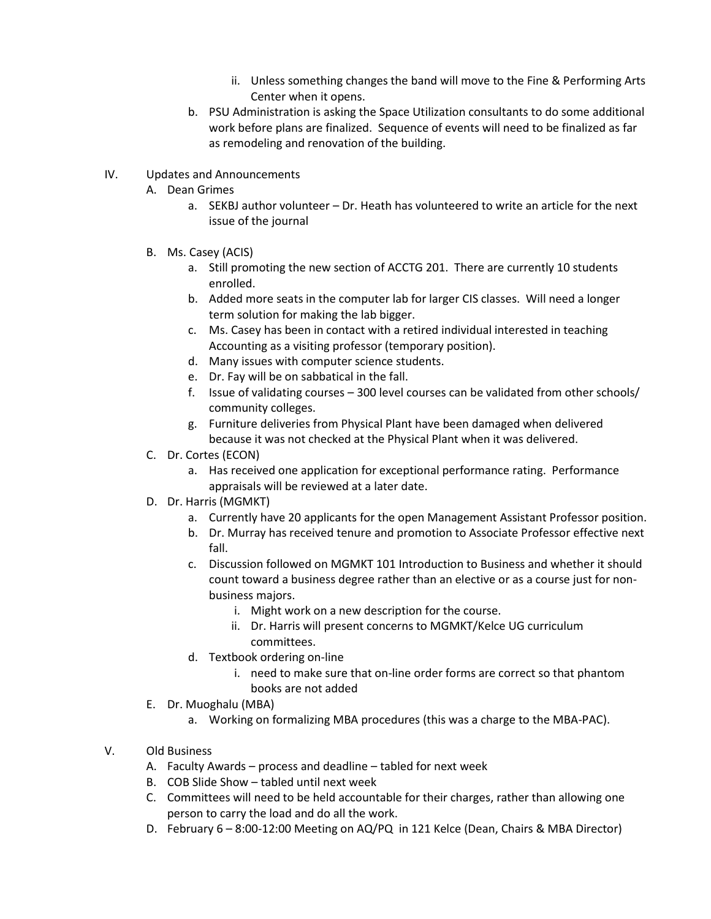- ii. Unless something changes the band will move to the Fine & Performing Arts Center when it opens.
- b. PSU Administration is asking the Space Utilization consultants to do some additional work before plans are finalized. Sequence of events will need to be finalized as far as remodeling and renovation of the building.
- IV. Updates and Announcements
	- A. Dean Grimes
		- a. SEKBJ author volunteer Dr. Heath has volunteered to write an article for the next issue of the journal
	- B. Ms. Casey (ACIS)
		- a. Still promoting the new section of ACCTG 201. There are currently 10 students enrolled.
		- b. Added more seats in the computer lab for larger CIS classes. Will need a longer term solution for making the lab bigger.
		- c. Ms. Casey has been in contact with a retired individual interested in teaching Accounting as a visiting professor (temporary position).
		- d. Many issues with computer science students.
		- e. Dr. Fay will be on sabbatical in the fall.
		- f. Issue of validating courses 300 level courses can be validated from other schools/ community colleges.
		- g. Furniture deliveries from Physical Plant have been damaged when delivered because it was not checked at the Physical Plant when it was delivered.
	- C. Dr. Cortes (ECON)
		- a. Has received one application for exceptional performance rating. Performance appraisals will be reviewed at a later date.
	- D. Dr. Harris (MGMKT)
		- a. Currently have 20 applicants for the open Management Assistant Professor position.
		- b. Dr. Murray has received tenure and promotion to Associate Professor effective next fall.
		- c. Discussion followed on MGMKT 101 Introduction to Business and whether it should count toward a business degree rather than an elective or as a course just for nonbusiness majors.
			- i. Might work on a new description for the course.
			- ii. Dr. Harris will present concerns to MGMKT/Kelce UG curriculum committees.
		- d. Textbook ordering on-line
			- i. need to make sure that on-line order forms are correct so that phantom books are not added
	- E. Dr. Muoghalu (MBA)
		- a. Working on formalizing MBA procedures (this was a charge to the MBA-PAC).
- V. Old Business
	- A. Faculty Awards process and deadline tabled for next week
	- B. COB Slide Show tabled until next week
	- C. Committees will need to be held accountable for their charges, rather than allowing one person to carry the load and do all the work.
	- D. February 6 8:00-12:00 Meeting on AQ/PQ in 121 Kelce (Dean, Chairs & MBA Director)